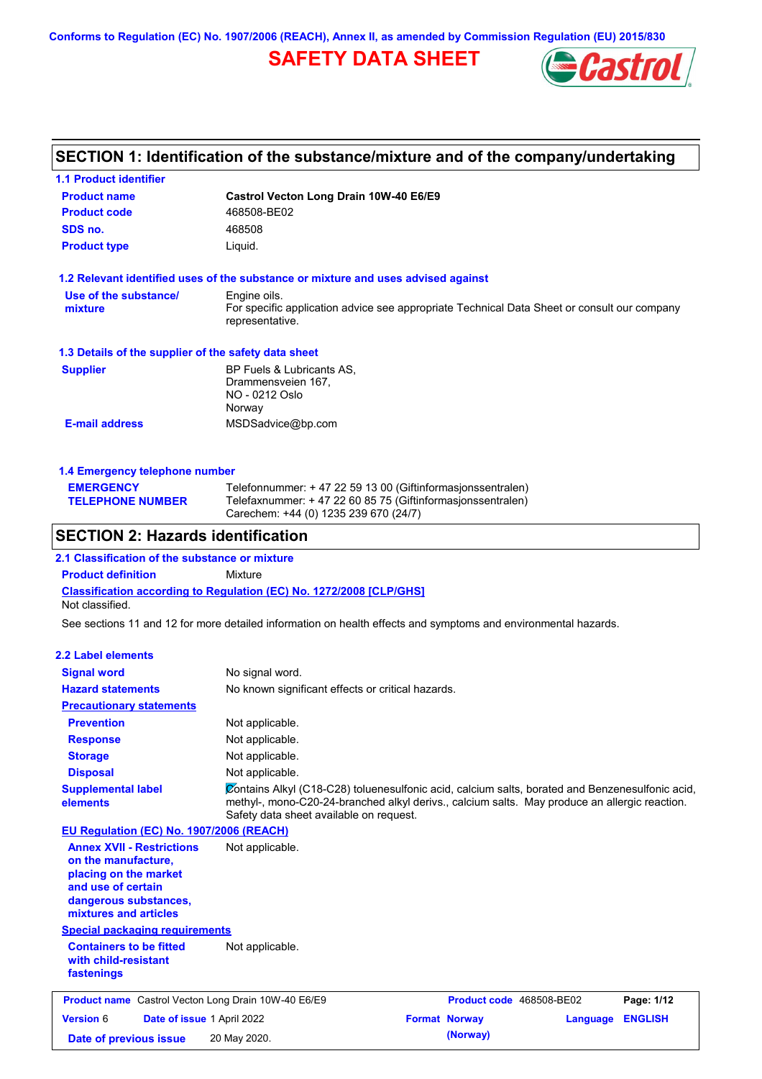**Conforms to Regulation (EC) No. 1907/2006 (REACH), Annex II, as amended by Commission Regulation (EU) 2015/830**

# **SAFETY DATA SHEET**



# **SECTION 1: Identification of the substance/mixture and of the company/undertaking**

| <b>1.1 Product identifier</b>                                                                                  |                                                                                                                                                                                                                                             |                      |                                 |                |
|----------------------------------------------------------------------------------------------------------------|---------------------------------------------------------------------------------------------------------------------------------------------------------------------------------------------------------------------------------------------|----------------------|---------------------------------|----------------|
| <b>Product name</b>                                                                                            | Castrol Vecton Long Drain 10W-40 E6/E9                                                                                                                                                                                                      |                      |                                 |                |
| <b>Product code</b>                                                                                            | 468508-BE02                                                                                                                                                                                                                                 |                      |                                 |                |
| SDS no.                                                                                                        | 468508                                                                                                                                                                                                                                      |                      |                                 |                |
| <b>Product type</b>                                                                                            | Liquid.                                                                                                                                                                                                                                     |                      |                                 |                |
| 1.2 Relevant identified uses of the substance or mixture and uses advised against                              |                                                                                                                                                                                                                                             |                      |                                 |                |
| Use of the substance/                                                                                          | Engine oils.                                                                                                                                                                                                                                |                      |                                 |                |
| mixture                                                                                                        | For specific application advice see appropriate Technical Data Sheet or consult our company<br>representative.                                                                                                                              |                      |                                 |                |
| 1.3 Details of the supplier of the safety data sheet                                                           |                                                                                                                                                                                                                                             |                      |                                 |                |
| <b>Supplier</b>                                                                                                | BP Fuels & Lubricants AS,                                                                                                                                                                                                                   |                      |                                 |                |
|                                                                                                                | Drammensveien 167,<br>NO - 0212 Oslo<br>Norway                                                                                                                                                                                              |                      |                                 |                |
| <b>E-mail address</b>                                                                                          | MSDSadvice@bp.com                                                                                                                                                                                                                           |                      |                                 |                |
|                                                                                                                |                                                                                                                                                                                                                                             |                      |                                 |                |
| 1.4 Emergency telephone number                                                                                 |                                                                                                                                                                                                                                             |                      |                                 |                |
| <b>EMERGENCY</b><br><b>TELEPHONE NUMBER</b>                                                                    | Telefonnummer: + 47 22 59 13 00 (Giftinformasjonssentralen)<br>Telefaxnummer: +47 22 60 85 75 (Giftinformasjonssentralen)<br>Carechem: +44 (0) 1235 239 670 (24/7)                                                                          |                      |                                 |                |
| <b>SECTION 2: Hazards identification</b>                                                                       |                                                                                                                                                                                                                                             |                      |                                 |                |
| 2.1 Classification of the substance or mixture                                                                 |                                                                                                                                                                                                                                             |                      |                                 |                |
| <b>Product definition</b>                                                                                      | Mixture                                                                                                                                                                                                                                     |                      |                                 |                |
| <b>Classification according to Regulation (EC) No. 1272/2008 [CLP/GHS]</b>                                     |                                                                                                                                                                                                                                             |                      |                                 |                |
| Not classified.                                                                                                |                                                                                                                                                                                                                                             |                      |                                 |                |
| See sections 11 and 12 for more detailed information on health effects and symptoms and environmental hazards. |                                                                                                                                                                                                                                             |                      |                                 |                |
| <b>2.2 Label elements</b>                                                                                      |                                                                                                                                                                                                                                             |                      |                                 |                |
| <b>Signal word</b>                                                                                             | No signal word.                                                                                                                                                                                                                             |                      |                                 |                |
| <b>Hazard statements</b>                                                                                       | No known significant effects or critical hazards.                                                                                                                                                                                           |                      |                                 |                |
| <b>Precautionary statements</b>                                                                                |                                                                                                                                                                                                                                             |                      |                                 |                |
| <b>Prevention</b>                                                                                              | Not applicable.                                                                                                                                                                                                                             |                      |                                 |                |
|                                                                                                                | Not applicable.                                                                                                                                                                                                                             |                      |                                 |                |
| <b>Response</b>                                                                                                |                                                                                                                                                                                                                                             |                      |                                 |                |
| <b>Storage</b>                                                                                                 | Not applicable.                                                                                                                                                                                                                             |                      |                                 |                |
| <b>Disposal</b>                                                                                                | Not applicable.                                                                                                                                                                                                                             |                      |                                 |                |
| <b>Supplemental label</b><br>elements                                                                          | Contains Alkyl (C18-C28) toluenesulfonic acid, calcium salts, borated and Benzenesulfonic acid,<br>methyl-, mono-C20-24-branched alkyl derivs., calcium salts. May produce an allergic reaction.<br>Safety data sheet available on request. |                      |                                 |                |
| EU Regulation (EC) No. 1907/2006 (REACH)                                                                       |                                                                                                                                                                                                                                             |                      |                                 |                |
| <b>Annex XVII - Restrictions</b><br>on the manufacture,                                                        | Not applicable.                                                                                                                                                                                                                             |                      |                                 |                |
| placing on the market                                                                                          |                                                                                                                                                                                                                                             |                      |                                 |                |
| and use of certain                                                                                             |                                                                                                                                                                                                                                             |                      |                                 |                |
| dangerous substances,                                                                                          |                                                                                                                                                                                                                                             |                      |                                 |                |
| mixtures and articles                                                                                          |                                                                                                                                                                                                                                             |                      |                                 |                |
| <b>Special packaging requirements</b>                                                                          |                                                                                                                                                                                                                                             |                      |                                 |                |
| <b>Containers to be fitted</b><br>with child-resistant<br>fastenings                                           | Not applicable.                                                                                                                                                                                                                             |                      |                                 |                |
| <b>Product name</b> Castrol Vecton Long Drain 10W-40 E6/E9                                                     |                                                                                                                                                                                                                                             |                      | <b>Product code</b> 468508-BE02 | Page: 1/12     |
| <b>Version 6</b><br>Date of issue 1 April 2022                                                                 |                                                                                                                                                                                                                                             | <b>Format Norway</b> | <b>Language</b>                 | <b>ENGLISH</b> |

**Date of previous issue (Norway)** 20 May 2020.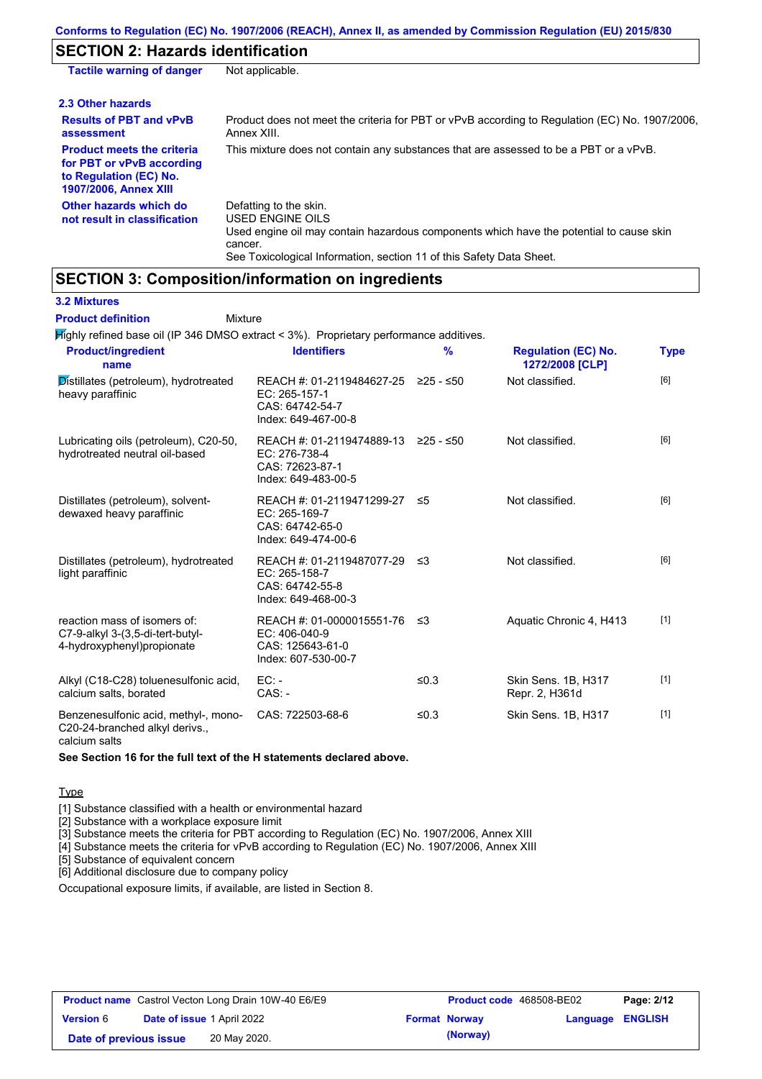# **SECTION 2: Hazards identification**

| <b>Tactile warning of danger</b>                                                                                         | Not applicable.                                                                                                                                                                                                          |
|--------------------------------------------------------------------------------------------------------------------------|--------------------------------------------------------------------------------------------------------------------------------------------------------------------------------------------------------------------------|
| 2.3 Other hazards                                                                                                        |                                                                                                                                                                                                                          |
| <b>Results of PBT and vPvB</b><br>assessment                                                                             | Product does not meet the criteria for PBT or vPvB according to Regulation (EC) No. 1907/2006,<br>Annex XIII.                                                                                                            |
| <b>Product meets the criteria</b><br>for PBT or vPvB according<br>to Regulation (EC) No.<br><b>1907/2006, Annex XIII</b> | This mixture does not contain any substances that are assessed to be a PBT or a vPvB.                                                                                                                                    |
| Other hazards which do<br>not result in classification                                                                   | Defatting to the skin.<br>USED ENGINE OILS<br>Used engine oil may contain hazardous components which have the potential to cause skin<br>cancer.<br>See Toxicological Information, section 11 of this Safety Data Sheet. |

# **SECTION 3: Composition/information on ingredients**

**3.2 Mixtures**

Mixture **Product definition**

Highly refined base oil (IP 346 DMSO extract < 3%). Proprietary performance additives.

| <b>Product/ingredient</b><br>name                                                               | <b>Identifiers</b>                                                                             | $\%$    | <b>Regulation (EC) No.</b><br>1272/2008 [CLP] | <b>Type</b> |
|-------------------------------------------------------------------------------------------------|------------------------------------------------------------------------------------------------|---------|-----------------------------------------------|-------------|
| Distillates (petroleum), hydrotreated<br>heavy paraffinic                                       | REACH #: 01-2119484627-25 ≥25 - ≤50<br>EC: 265-157-1<br>CAS: 64742-54-7<br>Index: 649-467-00-8 |         | Not classified.                               | [6]         |
| Lubricating oils (petroleum), C20-50,<br>hydrotreated neutral oil-based                         | REACH #: 01-2119474889-13 ≥25 - ≤50<br>EC: 276-738-4<br>CAS: 72623-87-1<br>Index: 649-483-00-5 |         | Not classified.                               | [6]         |
| Distillates (petroleum), solvent-<br>dewaxed heavy paraffinic                                   | REACH #: 01-2119471299-27<br>EC: 265-169-7<br>CAS: 64742-65-0<br>Index: 649-474-00-6           | ≤5      | Not classified.                               | [6]         |
| Distillates (petroleum), hydrotreated<br>light paraffinic                                       | REACH #: 01-2119487077-29 ≤3<br>EC: 265-158-7<br>CAS: 64742-55-8<br>Index: 649-468-00-3        |         | Not classified.                               | [6]         |
| reaction mass of isomers of:<br>C7-9-alkyl 3-(3,5-di-tert-butyl-<br>4-hydroxyphenyl) propionate | REACH #: 01-0000015551-76<br>EC: 406-040-9<br>CAS: 125643-61-0<br>Index: 607-530-00-7          | ึ ≤3    | Aquatic Chronic 4, H413                       | $[1]$       |
| Alkyl (C18-C28) toluenesulfonic acid,<br>calcium salts, borated                                 | $EC:$ -<br>$CAS. -$                                                                            | ≤ $0.3$ | Skin Sens. 1B, H317<br>Repr. 2, H361d         | $[1]$       |
| Benzenesulfonic acid, methyl-, mono-<br>C20-24-branched alkyl derivs.,                          | CAS: 722503-68-6                                                                               | ≤ $0.3$ | Skin Sens. 1B, H317                           | $[1]$       |

calcium salts

### **See Section 16 for the full text of the H statements declared above.**

## **Type**

[1] Substance classified with a health or environmental hazard

[2] Substance with a workplace exposure limit

[3] Substance meets the criteria for PBT according to Regulation (EC) No. 1907/2006, Annex XIII

[4] Substance meets the criteria for vPvB according to Regulation (EC) No. 1907/2006, Annex XIII

[5] Substance of equivalent concern

[6] Additional disclosure due to company policy

Occupational exposure limits, if available, are listed in Section 8.

| <b>Product name</b> Castrol Vecton Long Drain 10W-40 E6/E9 |  | <b>Product code</b> 468508-BE02   |  | Page: 2/12           |                         |  |
|------------------------------------------------------------|--|-----------------------------------|--|----------------------|-------------------------|--|
| <b>Version 6</b>                                           |  | <b>Date of issue 1 April 2022</b> |  | <b>Format Norway</b> | <b>Language ENGLISH</b> |  |
| Date of previous issue                                     |  | 20 May 2020.                      |  | (Norway)             |                         |  |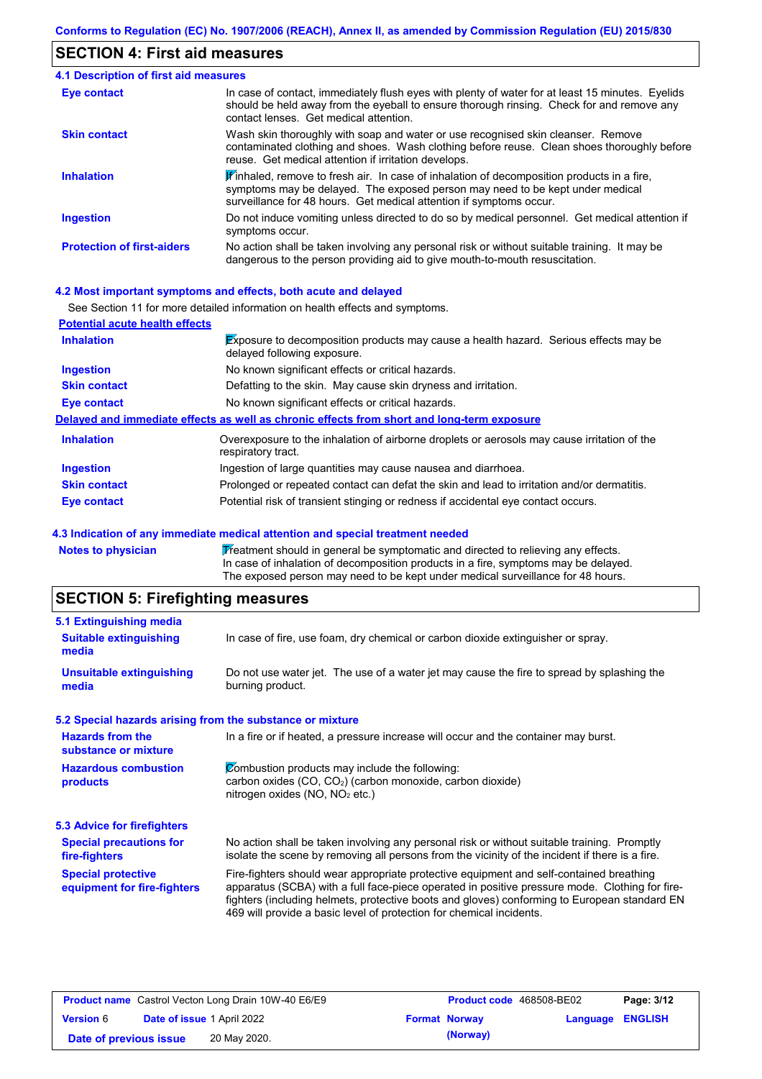# **SECTION 4: First aid measures**

| <b>4.1 Description of first aid measures</b> |                                                                                                                                                                                                                                                               |
|----------------------------------------------|---------------------------------------------------------------------------------------------------------------------------------------------------------------------------------------------------------------------------------------------------------------|
| Eye contact                                  | In case of contact, immediately flush eyes with plenty of water for at least 15 minutes. Eyelids<br>should be held away from the eyeball to ensure thorough rinsing. Check for and remove any<br>contact lenses. Get medical attention.                       |
| <b>Skin contact</b>                          | Wash skin thoroughly with soap and water or use recognised skin cleanser. Remove<br>contaminated clothing and shoes. Wash clothing before reuse. Clean shoes thoroughly before<br>reuse. Get medical attention if irritation develops.                        |
| <b>Inhalation</b>                            | $\mathbf{F}$ inhaled, remove to fresh air. In case of inhalation of decomposition products in a fire,<br>symptoms may be delayed. The exposed person may need to be kept under medical<br>surveillance for 48 hours. Get medical attention if symptoms occur. |
| <b>Ingestion</b>                             | Do not induce vomiting unless directed to do so by medical personnel. Get medical attention if<br>symptoms occur.                                                                                                                                             |
| <b>Protection of first-aiders</b>            | No action shall be taken involving any personal risk or without suitable training. It may be<br>dangerous to the person providing aid to give mouth-to-mouth resuscitation.                                                                                   |

### **4.2 Most important symptoms and effects, both acute and delayed**

|                                       | See Section 11 for more detailed information on health effects and symptoms.                                               |
|---------------------------------------|----------------------------------------------------------------------------------------------------------------------------|
| <b>Potential acute health effects</b> |                                                                                                                            |
| <b>Inhalation</b>                     | <b>Exposure to decomposition products may cause a health hazard.</b> Serious effects may be<br>delayed following exposure. |
| <b>Ingestion</b>                      | No known significant effects or critical hazards.                                                                          |
| <b>Skin contact</b>                   | Defatting to the skin. May cause skin dryness and irritation.                                                              |
| Eye contact                           | No known significant effects or critical hazards.                                                                          |
|                                       | Delayed and immediate effects as well as chronic effects from short and long-term exposure                                 |
| <b>Inhalation</b>                     | Overexposure to the inhalation of airborne droplets or aerosols may cause irritation of the<br>respiratory tract.          |
| <b>Ingestion</b>                      | Ingestion of large quantities may cause nausea and diarrhoea.                                                              |
| <b>Skin contact</b>                   | Prolonged or repeated contact can defat the skin and lead to irritation and/or dermatitis.                                 |
| Eye contact                           | Potential risk of transient stinging or redness if accidental eye contact occurs.                                          |

## **4.3 Indication of any immediate medical attention and special treatment needed**

| Notes to physician | Treatment should in general be symptomatic and directed to relieving any effects.   |
|--------------------|-------------------------------------------------------------------------------------|
|                    | In case of inhalation of decomposition products in a fire, symptoms may be delayed. |
|                    | The exposed person may need to be kept under medical surveillance for 48 hours.     |

# **SECTION 5: Firefighting measures**

| 5.1 Extinguishing media                                   |                                                                                                                                                                                                                                                                                                                                                                   |
|-----------------------------------------------------------|-------------------------------------------------------------------------------------------------------------------------------------------------------------------------------------------------------------------------------------------------------------------------------------------------------------------------------------------------------------------|
| <b>Suitable extinguishing</b><br>media                    | In case of fire, use foam, dry chemical or carbon dioxide extinguisher or spray.                                                                                                                                                                                                                                                                                  |
| <b>Unsuitable extinguishing</b><br>media                  | Do not use water jet. The use of a water jet may cause the fire to spread by splashing the<br>burning product.                                                                                                                                                                                                                                                    |
| 5.2 Special hazards arising from the substance or mixture |                                                                                                                                                                                                                                                                                                                                                                   |
| <b>Hazards from the</b><br>substance or mixture           | In a fire or if heated, a pressure increase will occur and the container may burst.                                                                                                                                                                                                                                                                               |
| <b>Hazardous combustion</b><br>products                   | Combustion products may include the following:<br>carbon oxides (CO, CO <sub>2</sub> ) (carbon monoxide, carbon dioxide)<br>nitrogen oxides (NO, NO <sub>2</sub> etc.)                                                                                                                                                                                            |
| <b>5.3 Advice for firefighters</b>                        |                                                                                                                                                                                                                                                                                                                                                                   |
| <b>Special precautions for</b><br>fire-fighters           | No action shall be taken involving any personal risk or without suitable training. Promptly<br>isolate the scene by removing all persons from the vicinity of the incident if there is a fire.                                                                                                                                                                    |
| <b>Special protective</b><br>equipment for fire-fighters  | Fire-fighters should wear appropriate protective equipment and self-contained breathing<br>apparatus (SCBA) with a full face-piece operated in positive pressure mode. Clothing for fire-<br>fighters (including helmets, protective boots and gloves) conforming to European standard EN<br>469 will provide a basic level of protection for chemical incidents. |

| <b>Product name</b> Castrol Vecton Long Drain 10W-40 E6/E9 |  | <b>Product code</b> 468508-BE02   |  | Page: 3/12           |                         |  |
|------------------------------------------------------------|--|-----------------------------------|--|----------------------|-------------------------|--|
| <b>Version 6</b>                                           |  | <b>Date of issue 1 April 2022</b> |  | <b>Format Norway</b> | <b>Language ENGLISH</b> |  |
| Date of previous issue                                     |  | 20 May 2020.                      |  | (Norway)             |                         |  |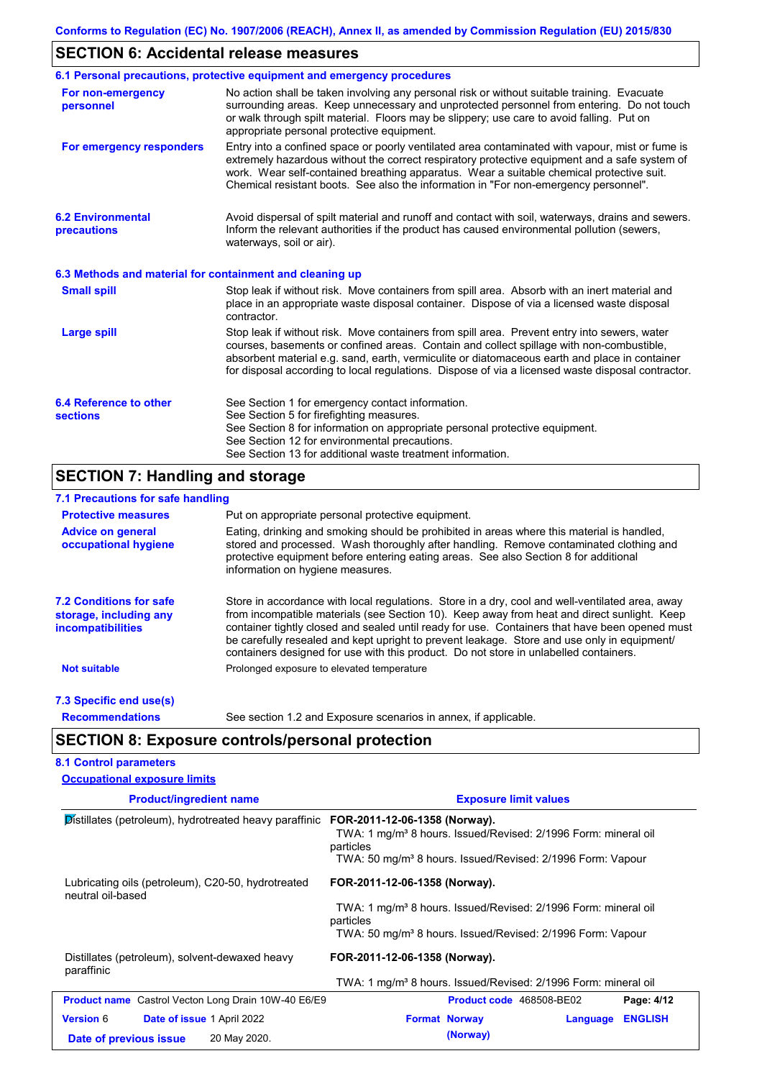# **SECTION 6: Accidental release measures**

|                                                          | 6.1 Personal precautions, protective equipment and emergency procedures                                                                                                                                                                                                                                                                                                                        |
|----------------------------------------------------------|------------------------------------------------------------------------------------------------------------------------------------------------------------------------------------------------------------------------------------------------------------------------------------------------------------------------------------------------------------------------------------------------|
| For non-emergency<br>personnel                           | No action shall be taken involving any personal risk or without suitable training. Evacuate<br>surrounding areas. Keep unnecessary and unprotected personnel from entering. Do not touch<br>or walk through spilt material. Floors may be slippery; use care to avoid falling. Put on<br>appropriate personal protective equipment.                                                            |
| For emergency responders                                 | Entry into a confined space or poorly ventilated area contaminated with vapour, mist or fume is<br>extremely hazardous without the correct respiratory protective equipment and a safe system of<br>work. Wear self-contained breathing apparatus. Wear a suitable chemical protective suit.<br>Chemical resistant boots. See also the information in "For non-emergency personnel".           |
| <b>6.2 Environmental</b><br>precautions                  | Avoid dispersal of spilt material and runoff and contact with soil, waterways, drains and sewers.<br>Inform the relevant authorities if the product has caused environmental pollution (sewers,<br>waterways, soil or air).                                                                                                                                                                    |
| 6.3 Methods and material for containment and cleaning up |                                                                                                                                                                                                                                                                                                                                                                                                |
| <b>Small spill</b>                                       | Stop leak if without risk. Move containers from spill area. Absorb with an inert material and<br>place in an appropriate waste disposal container. Dispose of via a licensed waste disposal<br>contractor.                                                                                                                                                                                     |
| <b>Large spill</b>                                       | Stop leak if without risk. Move containers from spill area. Prevent entry into sewers, water<br>courses, basements or confined areas. Contain and collect spillage with non-combustible,<br>absorbent material e.g. sand, earth, vermiculite or diatomaceous earth and place in container<br>for disposal according to local regulations. Dispose of via a licensed waste disposal contractor. |
| 6.4 Reference to other<br><b>sections</b>                | See Section 1 for emergency contact information.<br>See Section 5 for firefighting measures.                                                                                                                                                                                                                                                                                                   |
|                                                          | See Section 8 for information on appropriate personal protective equipment.<br>See Section 12 for environmental precautions.                                                                                                                                                                                                                                                                   |
|                                                          | See Section 13 for additional waste treatment information.                                                                                                                                                                                                                                                                                                                                     |
| <b>SECTION 7: Handling and storage</b>                   |                                                                                                                                                                                                                                                                                                                                                                                                |
| 7.1 Precautions for safe handling                        |                                                                                                                                                                                                                                                                                                                                                                                                |
| <b>Protective measures</b>                               | Put on appropriate personal protective equipment.                                                                                                                                                                                                                                                                                                                                              |

| <b>Protective measures</b>  | Put on appropriate personal protective equipment.                                          |
|-----------------------------|--------------------------------------------------------------------------------------------|
| <b>Advice on general</b>    | Eating, drinking and smoking should be prohibited in areas where this material is handled, |
| <b>occupational hygiene</b> | stored and processed. Wash thoroughly after handling. Remove contaminated clothing a       |

| occupational hygiene                                                                 | stored and processed. Wash thoroughly after handling. Remove contaminated clothing and<br>protective equipment before entering eating areas. See also Section 8 for additional<br>information on hygiene measures.                                                                                                                                                                                                                                                                       |
|--------------------------------------------------------------------------------------|------------------------------------------------------------------------------------------------------------------------------------------------------------------------------------------------------------------------------------------------------------------------------------------------------------------------------------------------------------------------------------------------------------------------------------------------------------------------------------------|
| <b>7.2 Conditions for safe</b><br>storage, including any<br><b>incompatibilities</b> | Store in accordance with local requlations. Store in a dry, cool and well-ventilated area, away<br>from incompatible materials (see Section 10). Keep away from heat and direct sunlight. Keep<br>container tightly closed and sealed until ready for use. Containers that have been opened must<br>be carefully resealed and kept upright to prevent leakage. Store and use only in equipment/<br>containers designed for use with this product. Do not store in unlabelled containers. |
| <b>Not suitable</b>                                                                  | Prolonged exposure to elevated temperature                                                                                                                                                                                                                                                                                                                                                                                                                                               |

## **7.3 Specific end use(s)**

**Recommendations**

See section 1.2 and Exposure scenarios in annex, if applicable.

# **SECTION 8: Exposure controls/personal protection**

|  | <b>8.1 Control parameters</b> |                                     |  |
|--|-------------------------------|-------------------------------------|--|
|  |                               | <b>Occupational exposure limits</b> |  |

| <b>Product/ingredient name</b>                                          | <b>Exposure limit values</b>                                                            |
|-------------------------------------------------------------------------|-----------------------------------------------------------------------------------------|
| Distillates (petroleum), hydrotreated heavy paraffinic                  | FOR-2011-12-06-1358 (Norway).                                                           |
|                                                                         | TWA: 1 mg/m <sup>3</sup> 8 hours. Issued/Revised: 2/1996 Form: mineral oil<br>particles |
|                                                                         | TWA: 50 mg/m <sup>3</sup> 8 hours. Issued/Revised: 2/1996 Form: Vapour                  |
| Lubricating oils (petroleum), C20-50, hydrotreated<br>neutral oil-based | FOR-2011-12-06-1358 (Norway).                                                           |
|                                                                         | TWA: 1 mg/m <sup>3</sup> 8 hours. Issued/Revised: 2/1996 Form: mineral oil              |
|                                                                         | particles<br>TWA: 50 mg/m <sup>3</sup> 8 hours. Issued/Revised: 2/1996 Form: Vapour     |
| Distillates (petroleum), solvent-dewaxed heavy<br>paraffinic            | FOR-2011-12-06-1358 (Norway).                                                           |
|                                                                         | TWA: 1 mg/m <sup>3</sup> 8 hours. Issued/Revised: 2/1996 Form: mineral oil              |
| <b>Product name</b> Castrol Vecton Long Drain 10W-40 E6/E9              | Product code 468508-BE02<br>Page: 4/12                                                  |
| <b>Version 6</b><br><b>Date of issue 1 April 2022</b>                   | <b>ENGLISH</b><br><b>Format Norway</b><br>Language                                      |
| 20 May 2020.<br>Date of previous issue                                  | (Norway)                                                                                |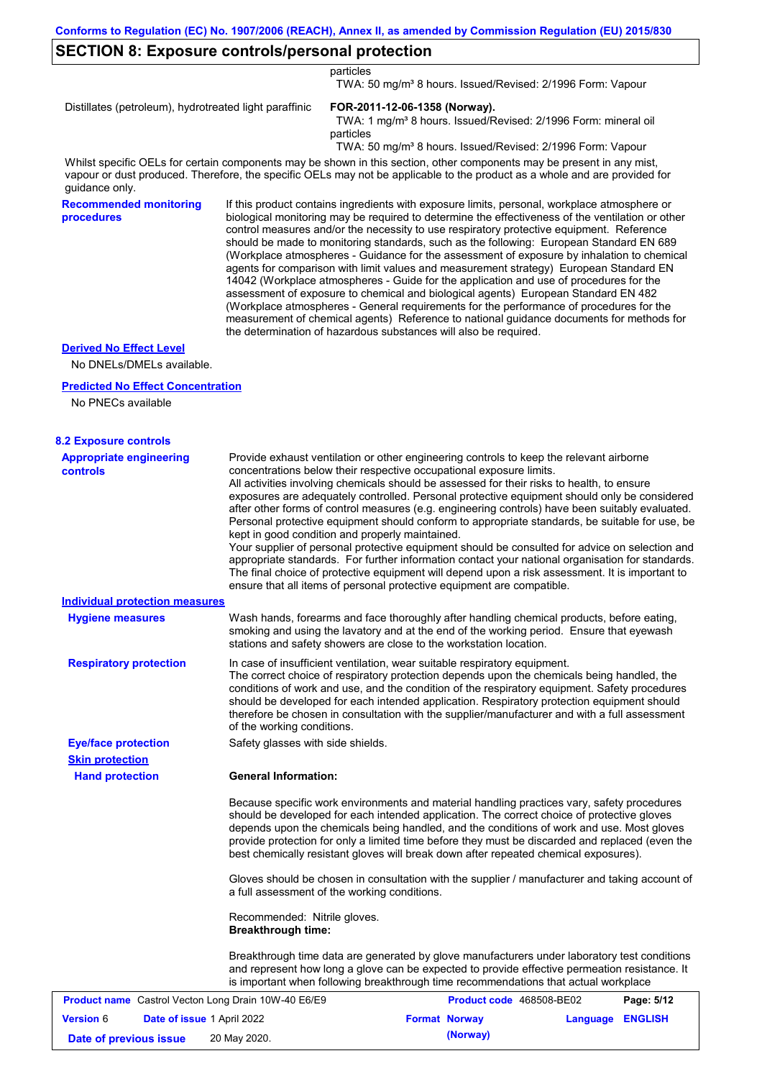# **SECTION 8: Exposure controls/personal protection**

particles

TWA: 50 mg/m³ 8 hours. Issued/Revised: 2/1996 Form: Vapour

Distillates (petroleum), hydrotreated light paraffinic **FOR-2011-12-06-1358 (Norway).**

TWA: 1 mg/m<sup>3</sup> 8 hours. Issued/Revised: 2/1996 Form: mineral oil particles

TWA: 50 mg/m³ 8 hours. Issued/Revised: 2/1996 Form: Vapour

Whilst specific OELs for certain components may be shown in this section, other components may be present in any mist, vapour or dust produced. Therefore, the specific OELs may not be applicable to the product as a whole and are provided for guidance only.

**Recommended monitoring procedures**

If this product contains ingredients with exposure limits, personal, workplace atmosphere or biological monitoring may be required to determine the effectiveness of the ventilation or other control measures and/or the necessity to use respiratory protective equipment. Reference should be made to monitoring standards, such as the following: European Standard EN 689 (Workplace atmospheres - Guidance for the assessment of exposure by inhalation to chemical agents for comparison with limit values and measurement strategy) European Standard EN 14042 (Workplace atmospheres - Guide for the application and use of procedures for the assessment of exposure to chemical and biological agents) European Standard EN 482 (Workplace atmospheres - General requirements for the performance of procedures for the measurement of chemical agents) Reference to national guidance documents for methods for the determination of hazardous substances will also be required.

## **Derived No Effect Level**

No DNELs/DMELs available.

#### **Predicted No Effect Concentration**

No PNECs available

# **8.2 Exposure controls**

| <u>LAPOSULE CONTINUIST</u>                                 |                                                                                                                                                |                                                                                                                                                                                                                                                                                                                                                                                                                                                                                                                                                                                                                                                                                                                                                                                                                                                                                                                                                      |          |                |  |  |
|------------------------------------------------------------|------------------------------------------------------------------------------------------------------------------------------------------------|------------------------------------------------------------------------------------------------------------------------------------------------------------------------------------------------------------------------------------------------------------------------------------------------------------------------------------------------------------------------------------------------------------------------------------------------------------------------------------------------------------------------------------------------------------------------------------------------------------------------------------------------------------------------------------------------------------------------------------------------------------------------------------------------------------------------------------------------------------------------------------------------------------------------------------------------------|----------|----------------|--|--|
| <b>Appropriate engineering</b><br><b>controls</b>          | kept in good condition and properly maintained.                                                                                                | Provide exhaust ventilation or other engineering controls to keep the relevant airborne<br>concentrations below their respective occupational exposure limits.<br>All activities involving chemicals should be assessed for their risks to health, to ensure<br>exposures are adequately controlled. Personal protective equipment should only be considered<br>after other forms of control measures (e.g. engineering controls) have been suitably evaluated.<br>Personal protective equipment should conform to appropriate standards, be suitable for use, be<br>Your supplier of personal protective equipment should be consulted for advice on selection and<br>appropriate standards. For further information contact your national organisation for standards.<br>The final choice of protective equipment will depend upon a risk assessment. It is important to<br>ensure that all items of personal protective equipment are compatible. |          |                |  |  |
| <b>Individual protection measures</b>                      |                                                                                                                                                |                                                                                                                                                                                                                                                                                                                                                                                                                                                                                                                                                                                                                                                                                                                                                                                                                                                                                                                                                      |          |                |  |  |
| <b>Hygiene measures</b>                                    |                                                                                                                                                | Wash hands, forearms and face thoroughly after handling chemical products, before eating,<br>smoking and using the lavatory and at the end of the working period. Ensure that eyewash<br>stations and safety showers are close to the workstation location.                                                                                                                                                                                                                                                                                                                                                                                                                                                                                                                                                                                                                                                                                          |          |                |  |  |
| <b>Respiratory protection</b>                              | of the working conditions.                                                                                                                     | In case of insufficient ventilation, wear suitable respiratory equipment.<br>The correct choice of respiratory protection depends upon the chemicals being handled, the<br>conditions of work and use, and the condition of the respiratory equipment. Safety procedures<br>should be developed for each intended application. Respiratory protection equipment should<br>therefore be chosen in consultation with the supplier/manufacturer and with a full assessment                                                                                                                                                                                                                                                                                                                                                                                                                                                                              |          |                |  |  |
| <b>Eye/face protection</b>                                 | Safety glasses with side shields.                                                                                                              |                                                                                                                                                                                                                                                                                                                                                                                                                                                                                                                                                                                                                                                                                                                                                                                                                                                                                                                                                      |          |                |  |  |
| <b>Skin protection</b>                                     |                                                                                                                                                |                                                                                                                                                                                                                                                                                                                                                                                                                                                                                                                                                                                                                                                                                                                                                                                                                                                                                                                                                      |          |                |  |  |
| <b>Hand protection</b>                                     | <b>General Information:</b>                                                                                                                    |                                                                                                                                                                                                                                                                                                                                                                                                                                                                                                                                                                                                                                                                                                                                                                                                                                                                                                                                                      |          |                |  |  |
|                                                            |                                                                                                                                                | Because specific work environments and material handling practices vary, safety procedures<br>should be developed for each intended application. The correct choice of protective gloves<br>depends upon the chemicals being handled, and the conditions of work and use. Most gloves<br>provide protection for only a limited time before they must be discarded and replaced (even the<br>best chemically resistant gloves will break down after repeated chemical exposures).                                                                                                                                                                                                                                                                                                                                                                                                                                                                     |          |                |  |  |
|                                                            | Gloves should be chosen in consultation with the supplier / manufacturer and taking account of<br>a full assessment of the working conditions. |                                                                                                                                                                                                                                                                                                                                                                                                                                                                                                                                                                                                                                                                                                                                                                                                                                                                                                                                                      |          |                |  |  |
|                                                            | Recommended: Nitrile gloves.<br><b>Breakthrough time:</b>                                                                                      |                                                                                                                                                                                                                                                                                                                                                                                                                                                                                                                                                                                                                                                                                                                                                                                                                                                                                                                                                      |          |                |  |  |
|                                                            |                                                                                                                                                | Breakthrough time data are generated by glove manufacturers under laboratory test conditions<br>and represent how long a glove can be expected to provide effective permeation resistance. It<br>is important when following breakthrough time recommendations that actual workplace                                                                                                                                                                                                                                                                                                                                                                                                                                                                                                                                                                                                                                                                 |          |                |  |  |
| <b>Product name</b> Castrol Vecton Long Drain 10W-40 E6/E9 |                                                                                                                                                | Product code 468508-BE02                                                                                                                                                                                                                                                                                                                                                                                                                                                                                                                                                                                                                                                                                                                                                                                                                                                                                                                             |          | Page: 5/12     |  |  |
| <b>Version 6</b><br>Date of issue 1 April 2022             |                                                                                                                                                | <b>Format Norway</b>                                                                                                                                                                                                                                                                                                                                                                                                                                                                                                                                                                                                                                                                                                                                                                                                                                                                                                                                 | Language | <b>ENGLISH</b> |  |  |

**Date of previous issue (Norway)** 20 May 2020.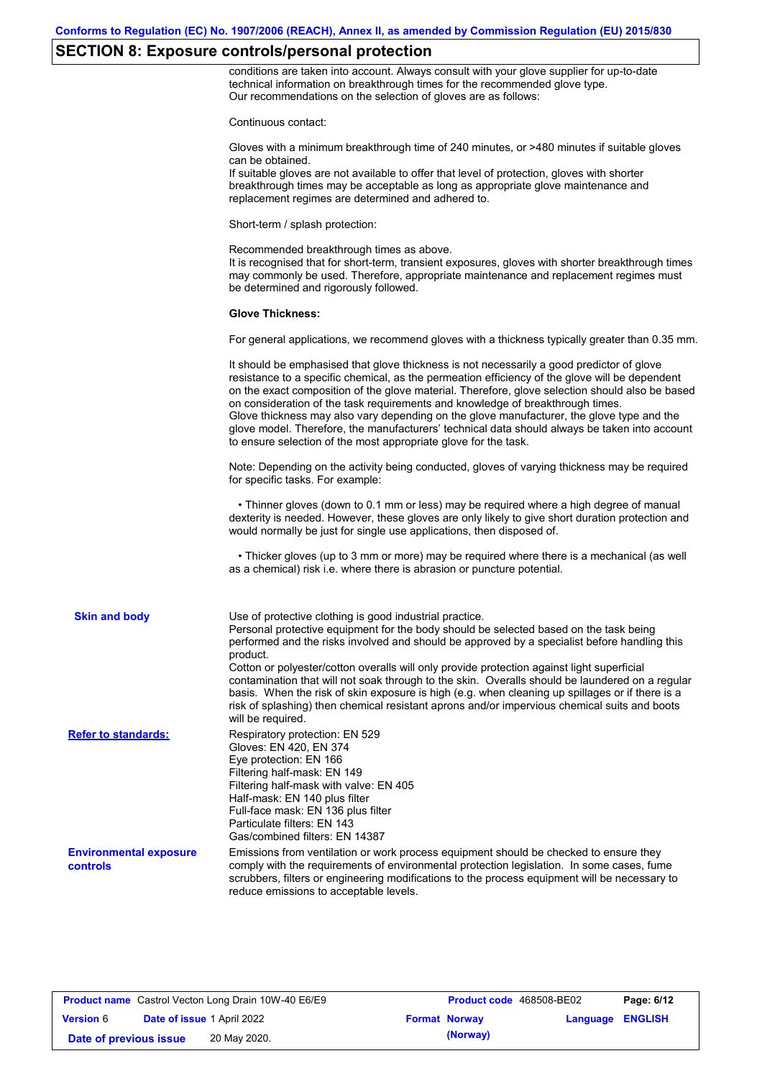# **SECTION 8: Exposure controls/personal protection**

conditions are taken into account. Always consult with your glove supplier for up-to-date technical information on breakthrough times for the recommended glove type. Our recommendations on the selection of gloves are as follows:

|                                           | Continuous contact:                                                                                                                                                                                                                                                                                                                                                                                                                                                                                                                                                                                                                                                                   |
|-------------------------------------------|---------------------------------------------------------------------------------------------------------------------------------------------------------------------------------------------------------------------------------------------------------------------------------------------------------------------------------------------------------------------------------------------------------------------------------------------------------------------------------------------------------------------------------------------------------------------------------------------------------------------------------------------------------------------------------------|
|                                           | Gloves with a minimum breakthrough time of 240 minutes, or >480 minutes if suitable gloves<br>can be obtained.<br>If suitable gloves are not available to offer that level of protection, gloves with shorter<br>breakthrough times may be acceptable as long as appropriate glove maintenance and<br>replacement regimes are determined and adhered to.                                                                                                                                                                                                                                                                                                                              |
|                                           | Short-term / splash protection:                                                                                                                                                                                                                                                                                                                                                                                                                                                                                                                                                                                                                                                       |
|                                           | Recommended breakthrough times as above.<br>It is recognised that for short-term, transient exposures, gloves with shorter breakthrough times<br>may commonly be used. Therefore, appropriate maintenance and replacement regimes must<br>be determined and rigorously followed.                                                                                                                                                                                                                                                                                                                                                                                                      |
|                                           | <b>Glove Thickness:</b>                                                                                                                                                                                                                                                                                                                                                                                                                                                                                                                                                                                                                                                               |
|                                           | For general applications, we recommend gloves with a thickness typically greater than 0.35 mm.                                                                                                                                                                                                                                                                                                                                                                                                                                                                                                                                                                                        |
|                                           | It should be emphasised that glove thickness is not necessarily a good predictor of glove<br>resistance to a specific chemical, as the permeation efficiency of the glove will be dependent<br>on the exact composition of the glove material. Therefore, glove selection should also be based<br>on consideration of the task requirements and knowledge of breakthrough times.<br>Glove thickness may also vary depending on the glove manufacturer, the glove type and the<br>glove model. Therefore, the manufacturers' technical data should always be taken into account<br>to ensure selection of the most appropriate glove for the task.                                     |
|                                           | Note: Depending on the activity being conducted, gloves of varying thickness may be required<br>for specific tasks. For example:                                                                                                                                                                                                                                                                                                                                                                                                                                                                                                                                                      |
|                                           | • Thinner gloves (down to 0.1 mm or less) may be required where a high degree of manual<br>dexterity is needed. However, these gloves are only likely to give short duration protection and<br>would normally be just for single use applications, then disposed of.                                                                                                                                                                                                                                                                                                                                                                                                                  |
|                                           | • Thicker gloves (up to 3 mm or more) may be required where there is a mechanical (as well<br>as a chemical) risk i.e. where there is abrasion or puncture potential.                                                                                                                                                                                                                                                                                                                                                                                                                                                                                                                 |
| <b>Skin and body</b>                      | Use of protective clothing is good industrial practice.<br>Personal protective equipment for the body should be selected based on the task being<br>performed and the risks involved and should be approved by a specialist before handling this<br>product.<br>Cotton or polyester/cotton overalls will only provide protection against light superficial<br>contamination that will not soak through to the skin. Overalls should be laundered on a regular<br>basis. When the risk of skin exposure is high (e.g. when cleaning up spillages or if there is a<br>risk of splashing) then chemical resistant aprons and/or impervious chemical suits and boots<br>will be required. |
| <b>Refer to standards:</b>                | Respiratory protection: EN 529<br>Gloves: EN 420, EN 374<br>Eye protection: EN 166<br>Filtering half-mask: EN 149<br>Filtering half-mask with valve: EN 405<br>Half-mask: EN 140 plus filter<br>Full-face mask: EN 136 plus filter<br>Particulate filters: EN 143<br>Gas/combined filters: EN 14387                                                                                                                                                                                                                                                                                                                                                                                   |
| <b>Environmental exposure</b><br>controls | Emissions from ventilation or work process equipment should be checked to ensure they<br>comply with the requirements of environmental protection legislation. In some cases, fume<br>scrubbers, filters or engineering modifications to the process equipment will be necessary to<br>reduce emissions to acceptable levels.                                                                                                                                                                                                                                                                                                                                                         |

|                        | <b>Product name</b> Castrol Vecton Long Drain 10W-40 E6/E9 | <b>Product code</b> 468508-BE02 |                         | Page: 6/12 |
|------------------------|------------------------------------------------------------|---------------------------------|-------------------------|------------|
| <b>Version 6</b>       | <b>Date of issue 1 April 2022</b>                          | <b>Format Norway</b>            | <b>Language ENGLISH</b> |            |
| Date of previous issue | 20 May 2020.                                               | (Norway)                        |                         |            |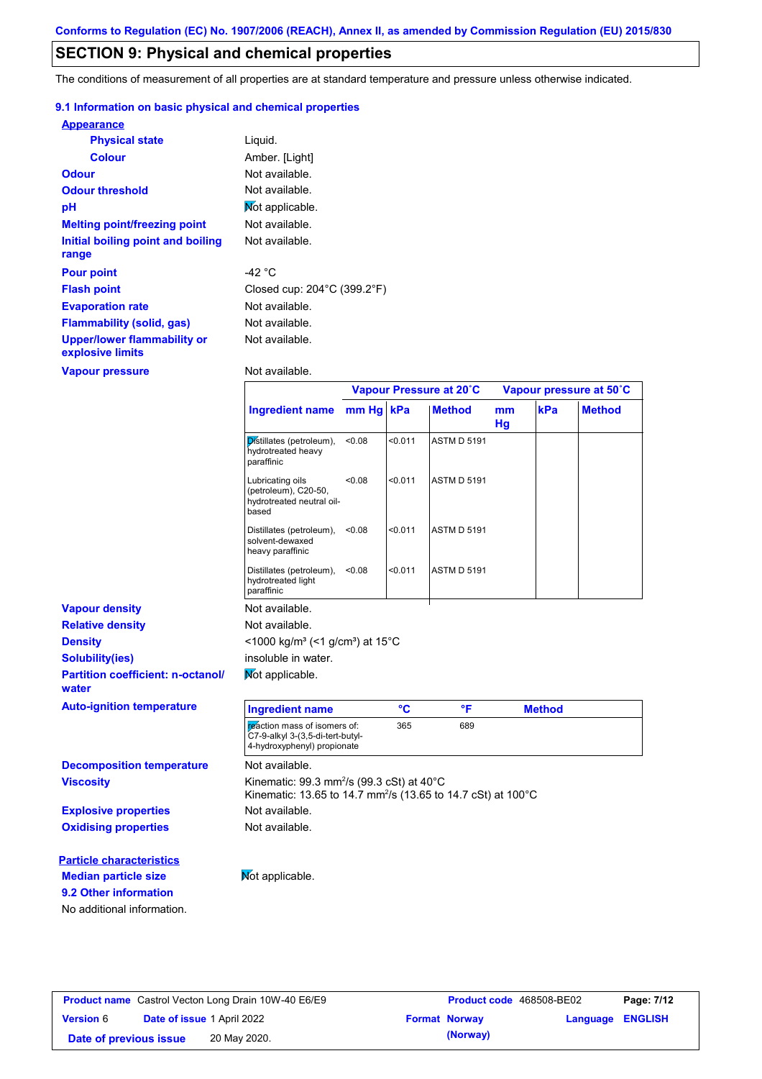# **SECTION 9: Physical and chemical properties**

The conditions of measurement of all properties are at standard temperature and pressure unless otherwise indicated.

### **9.1 Information on basic physical and chemical properties**

| <b>Appearance</b>                                      |                                                  |
|--------------------------------------------------------|--------------------------------------------------|
| <b>Physical state</b>                                  | Liquid.                                          |
| <b>Colour</b>                                          | Amber. [Light]                                   |
| Odour                                                  | Not available.                                   |
| <b>Odour threshold</b>                                 | Not available.                                   |
| рH                                                     | Not applicable.                                  |
| <b>Melting point/freezing point</b>                    | Not available.                                   |
| Initial boiling point and boiling                      | Not available.                                   |
| range                                                  |                                                  |
| <b>Pour point</b>                                      | -42 °C                                           |
| <b>Flash point</b>                                     | Closed cup: $204^{\circ}$ C (399.2 $^{\circ}$ F) |
| <b>Evaporation rate</b>                                | Not available.                                   |
| Flammability (solid, gas)                              | Not available.                                   |
| <b>Upper/lower flammability or</b><br>explosive limits | Not available.                                   |
| <b>Vapour pressure</b>                                 | Not available.                                   |

|                                                   |                                                                                                                                   | Vapour Pressure at 20°C |         |                    | Vapour pressure at 50°C |               |               |
|---------------------------------------------------|-----------------------------------------------------------------------------------------------------------------------------------|-------------------------|---------|--------------------|-------------------------|---------------|---------------|
|                                                   | <b>Ingredient name</b>                                                                                                            | mm Hg                   | kPa     | <b>Method</b>      | mm<br>Hg                | kPa           | <b>Method</b> |
|                                                   | Distillates (petroleum),<br>hydrotreated heavy<br>paraffinic                                                                      | < 0.08                  | < 0.011 | <b>ASTM D 5191</b> |                         |               |               |
|                                                   | Lubricating oils<br>(petroleum), C20-50,<br>hydrotreated neutral oil-<br>based                                                    | 0.08                    | < 0.011 | <b>ASTM D 5191</b> |                         |               |               |
|                                                   | Distillates (petroleum),<br>solvent-dewaxed<br>heavy paraffinic                                                                   | < 0.08                  | < 0.011 | <b>ASTM D 5191</b> |                         |               |               |
|                                                   | Distillates (petroleum),<br>hydrotreated light<br>paraffinic                                                                      | < 0.08                  | < 0.011 | <b>ASTM D 5191</b> |                         |               |               |
| <b>Vapour density</b>                             | Not available.                                                                                                                    |                         |         |                    |                         |               |               |
| <b>Relative density</b>                           | Not available.                                                                                                                    |                         |         |                    |                         |               |               |
| <b>Density</b>                                    | <1000 kg/m <sup>3</sup> (<1 g/cm <sup>3</sup> ) at 15 <sup>°</sup> C                                                              |                         |         |                    |                         |               |               |
| <b>Solubility(ies)</b>                            | insoluble in water.                                                                                                               |                         |         |                    |                         |               |               |
| <b>Partition coefficient: n-octanol/</b><br>water | Not applicable.                                                                                                                   |                         |         |                    |                         |               |               |
| <b>Auto-ignition temperature</b>                  | <b>Ingredient name</b>                                                                                                            |                         | °C      | °F                 |                         | <b>Method</b> |               |
|                                                   | reaction mass of isomers of:<br>C7-9-alkyl 3-(3,5-di-tert-butyl-<br>4-hydroxyphenyl) propionate                                   |                         | 365     | 689                |                         |               |               |
| <b>Decomposition temperature</b>                  | Not available.                                                                                                                    |                         |         |                    |                         |               |               |
| <b>Viscosity</b>                                  | Kinematic: 99.3 mm <sup>2</sup> /s (99.3 cSt) at 40°C<br>Kinematic: 13.65 to 14.7 mm <sup>2</sup> /s (13.65 to 14.7 cSt) at 100°C |                         |         |                    |                         |               |               |
| <b>Explosive properties</b>                       | Not available.                                                                                                                    |                         |         |                    |                         |               |               |
| <b>Oxidising properties</b>                       | Not available.                                                                                                                    |                         |         |                    |                         |               |               |
| <b>Particle characteristics</b>                   |                                                                                                                                   |                         |         |                    |                         |               |               |
| <b>Median particle size</b>                       | Not applicable.                                                                                                                   |                         |         |                    |                         |               |               |
| 9.2 Other information                             |                                                                                                                                   |                         |         |                    |                         |               |               |
|                                                   |                                                                                                                                   |                         |         |                    |                         |               |               |

|                        |                                   | <b>Product name</b> Castrol Vecton Long Drain 10W-40 E6/E9 | Product code 468508-BE02 |                         | Page: 7/12 |
|------------------------|-----------------------------------|------------------------------------------------------------|--------------------------|-------------------------|------------|
| <b>Version 6</b>       | <b>Date of issue 1 April 2022</b> |                                                            | <b>Format Norway</b>     | <b>Language ENGLISH</b> |            |
| Date of previous issue |                                   | 20 May 2020.                                               | (Norway)                 |                         |            |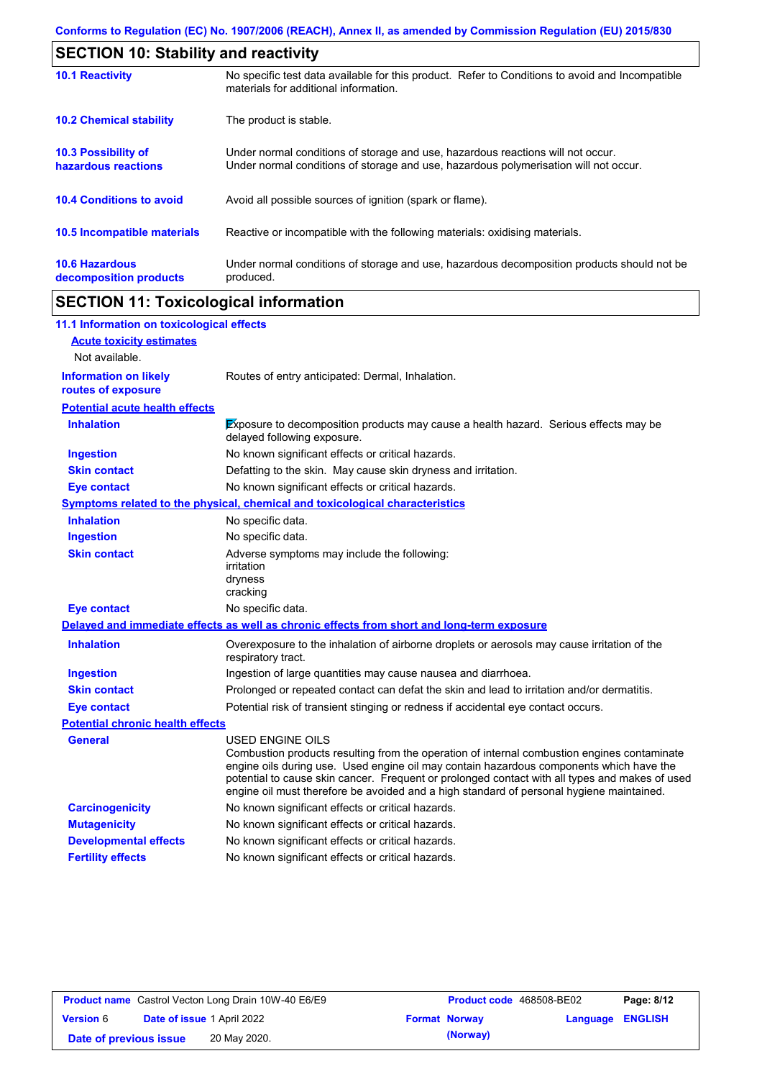| <b>SECTION 10: Stability and reactivity</b>       |                                                                                                                                                                         |  |  |
|---------------------------------------------------|-------------------------------------------------------------------------------------------------------------------------------------------------------------------------|--|--|
| <b>10.1 Reactivity</b>                            | No specific test data available for this product. Refer to Conditions to avoid and Incompatible<br>materials for additional information.                                |  |  |
| <b>10.2 Chemical stability</b>                    | The product is stable.                                                                                                                                                  |  |  |
| <b>10.3 Possibility of</b><br>hazardous reactions | Under normal conditions of storage and use, hazardous reactions will not occur.<br>Under normal conditions of storage and use, hazardous polymerisation will not occur. |  |  |
| <b>10.4 Conditions to avoid</b>                   | Avoid all possible sources of ignition (spark or flame).                                                                                                                |  |  |
| 10.5 Incompatible materials                       | Reactive or incompatible with the following materials: oxidising materials.                                                                                             |  |  |
| <b>10.6 Hazardous</b><br>decomposition products   | Under normal conditions of storage and use, hazardous decomposition products should not be<br>produced.                                                                 |  |  |

# **SECTION 11: Toxicological information**

| 11.1 Information on toxicological effects          |                                                                                                                                                                                                                                                                                                                                                                                                                 |
|----------------------------------------------------|-----------------------------------------------------------------------------------------------------------------------------------------------------------------------------------------------------------------------------------------------------------------------------------------------------------------------------------------------------------------------------------------------------------------|
| <b>Acute toxicity estimates</b>                    |                                                                                                                                                                                                                                                                                                                                                                                                                 |
| Not available.                                     |                                                                                                                                                                                                                                                                                                                                                                                                                 |
| <b>Information on likely</b><br>routes of exposure | Routes of entry anticipated: Dermal, Inhalation.                                                                                                                                                                                                                                                                                                                                                                |
| <b>Potential acute health effects</b>              |                                                                                                                                                                                                                                                                                                                                                                                                                 |
| <b>Inhalation</b>                                  | Exposure to decomposition products may cause a health hazard. Serious effects may be<br>delayed following exposure.                                                                                                                                                                                                                                                                                             |
| <b>Ingestion</b>                                   | No known significant effects or critical hazards.                                                                                                                                                                                                                                                                                                                                                               |
| <b>Skin contact</b>                                | Defatting to the skin. May cause skin dryness and irritation.                                                                                                                                                                                                                                                                                                                                                   |
| <b>Eye contact</b>                                 | No known significant effects or critical hazards.                                                                                                                                                                                                                                                                                                                                                               |
|                                                    | <b>Symptoms related to the physical, chemical and toxicological characteristics</b>                                                                                                                                                                                                                                                                                                                             |
| <b>Inhalation</b>                                  | No specific data.                                                                                                                                                                                                                                                                                                                                                                                               |
| <b>Ingestion</b>                                   | No specific data.                                                                                                                                                                                                                                                                                                                                                                                               |
| <b>Skin contact</b>                                | Adverse symptoms may include the following:<br>irritation<br>dryness<br>cracking                                                                                                                                                                                                                                                                                                                                |
| <b>Eye contact</b>                                 | No specific data.                                                                                                                                                                                                                                                                                                                                                                                               |
|                                                    | Delayed and immediate effects as well as chronic effects from short and long-term exposure                                                                                                                                                                                                                                                                                                                      |
| <b>Inhalation</b>                                  | Overexposure to the inhalation of airborne droplets or aerosols may cause irritation of the<br>respiratory tract.                                                                                                                                                                                                                                                                                               |
| <b>Ingestion</b>                                   | Ingestion of large quantities may cause nausea and diarrhoea.                                                                                                                                                                                                                                                                                                                                                   |
| <b>Skin contact</b>                                | Prolonged or repeated contact can defat the skin and lead to irritation and/or dermatitis.                                                                                                                                                                                                                                                                                                                      |
| <b>Eye contact</b>                                 | Potential risk of transient stinging or redness if accidental eye contact occurs.                                                                                                                                                                                                                                                                                                                               |
| <b>Potential chronic health effects</b>            |                                                                                                                                                                                                                                                                                                                                                                                                                 |
| General                                            | <b>USED ENGINE OILS</b><br>Combustion products resulting from the operation of internal combustion engines contaminate<br>engine oils during use. Used engine oil may contain hazardous components which have the<br>potential to cause skin cancer. Frequent or prolonged contact with all types and makes of used<br>engine oil must therefore be avoided and a high standard of personal hygiene maintained. |
| <b>Carcinogenicity</b>                             | No known significant effects or critical hazards.                                                                                                                                                                                                                                                                                                                                                               |
| <b>Mutagenicity</b>                                | No known significant effects or critical hazards.                                                                                                                                                                                                                                                                                                                                                               |
| <b>Developmental effects</b>                       | No known significant effects or critical hazards.                                                                                                                                                                                                                                                                                                                                                               |
| <b>Fertility effects</b>                           | No known significant effects or critical hazards.                                                                                                                                                                                                                                                                                                                                                               |

|                        |                                   | <b>Product name</b> Castrol Vecton Long Drain 10W-40 E6/E9 | <b>Product code</b> 468508-BE02 |                         | Page: 8/12 |
|------------------------|-----------------------------------|------------------------------------------------------------|---------------------------------|-------------------------|------------|
| <b>Version 6</b>       | <b>Date of issue 1 April 2022</b> |                                                            | <b>Format Norway</b>            | <b>Language ENGLISH</b> |            |
| Date of previous issue |                                   | 20 May 2020.                                               | (Norway)                        |                         |            |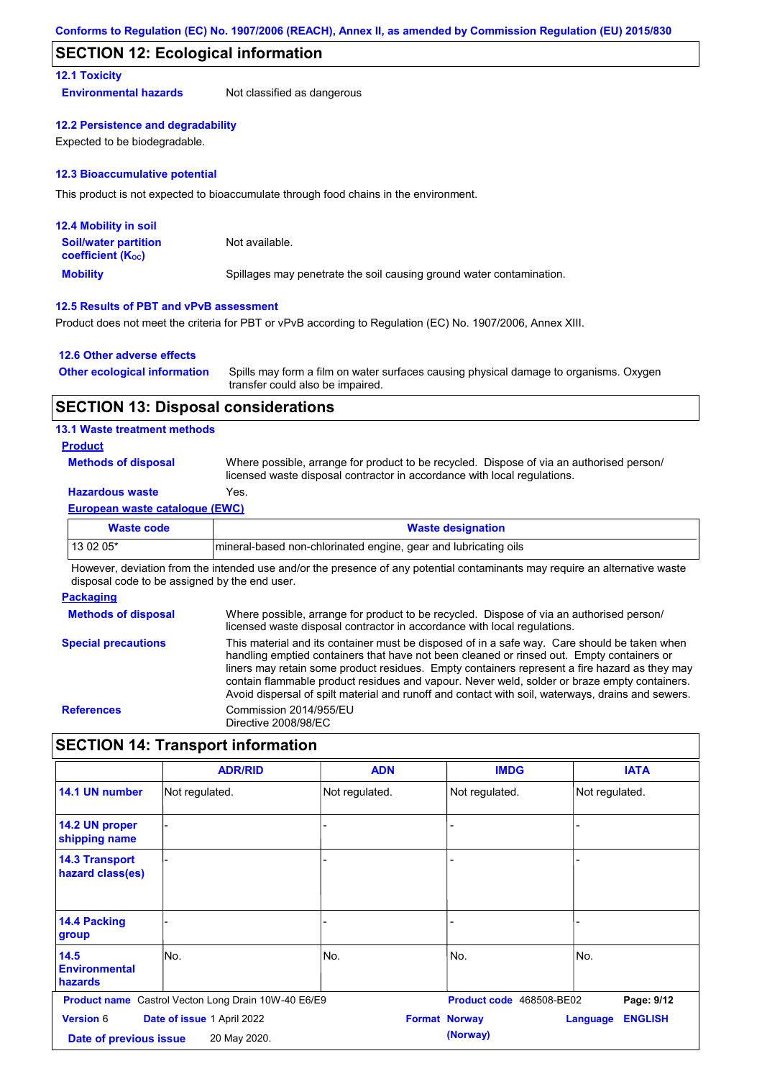## **SECTION 12: Ecological information**

## **12.1 Toxicity**

**Environmental hazards** Not classified as dangerous

### **12.2 Persistence and degradability**

Expected to be biodegradable.

### **12.3 Bioaccumulative potential**

This product is not expected to bioaccumulate through food chains in the environment.

| <b>12.4 Mobility in soil</b>                                  |                                                                      |
|---------------------------------------------------------------|----------------------------------------------------------------------|
| <b>Soil/water partition</b><br>coefficient (K <sub>oc</sub> ) | Not available.                                                       |
| <b>Mobility</b>                                               | Spillages may penetrate the soil causing ground water contamination. |

### **12.5 Results of PBT and vPvB assessment**

Product does not meet the criteria for PBT or vPvB according to Regulation (EC) No. 1907/2006, Annex XIII.

### **12.6 Other adverse effects**

| <b>Other ecological information</b> | Spills may form a film on water surfaces causing physical damage to organisms. Oxygen |
|-------------------------------------|---------------------------------------------------------------------------------------|
|                                     | transfer could also be impaired.                                                      |

## **SECTION 13: Disposal considerations**

### **13.1 Waste treatment methods**

### **Product**

**Methods of disposal**

Where possible, arrange for product to be recycled. Dispose of via an authorised person/ licensed waste disposal contractor in accordance with local regulations.

# **Hazardous waste** Yes.

### **European waste catalogue (EWC)**

| Waste code | <b>Waste designation</b>                                         |
|------------|------------------------------------------------------------------|
| 13 02 05*  | Imineral-based non-chlorinated engine, gear and lubricating oils |

However, deviation from the intended use and/or the presence of any potential contaminants may require an alternative waste disposal code to be assigned by the end user.

### **Packaging**

| <b>Methods of disposal</b> | Where possible, arrange for product to be recycled. Dispose of via an authorised person/<br>licensed waste disposal contractor in accordance with local regulations.                                                                                                                                                                                                                                                                                                                            |
|----------------------------|-------------------------------------------------------------------------------------------------------------------------------------------------------------------------------------------------------------------------------------------------------------------------------------------------------------------------------------------------------------------------------------------------------------------------------------------------------------------------------------------------|
| <b>Special precautions</b> | This material and its container must be disposed of in a safe way. Care should be taken when<br>handling emptied containers that have not been cleaned or rinsed out. Empty containers or<br>liners may retain some product residues. Empty containers represent a fire hazard as they may<br>contain flammable product residues and vapour. Never weld, solder or braze empty containers.<br>Avoid dispersal of spilt material and runoff and contact with soil, waterways, drains and sewers. |
| <b>References</b>          | Commission 2014/955/EU<br>Directive 2008/98/EC                                                                                                                                                                                                                                                                                                                                                                                                                                                  |

# **SECTION 14: Transport information**

|                                            | <b>ADR/RID</b>                                             | <b>ADN</b>     | <b>IMDG</b>                      | <b>IATA</b>                       |
|--------------------------------------------|------------------------------------------------------------|----------------|----------------------------------|-----------------------------------|
| 14.1 UN number                             | Not regulated.                                             | Not regulated. | Not regulated.                   | Not regulated.                    |
| 14.2 UN proper<br>shipping name            |                                                            |                |                                  |                                   |
| <b>14.3 Transport</b><br>hazard class(es)  |                                                            |                |                                  |                                   |
| 14.4 Packing<br>group                      |                                                            |                |                                  |                                   |
| 14.5<br><b>Environmental</b><br>hazards    | lNo.                                                       | No.            | No.                              | No.                               |
|                                            | <b>Product name</b> Castrol Vecton Long Drain 10W-40 E6/E9 |                | Product code 468508-BE02         | Page: 9/12                        |
| <b>Version 6</b><br>Date of previous issue | Date of issue 1 April 2022<br>20 May 2020.                 |                | <b>Format Norway</b><br>(Norway) | <b>ENGLISH</b><br><b>Language</b> |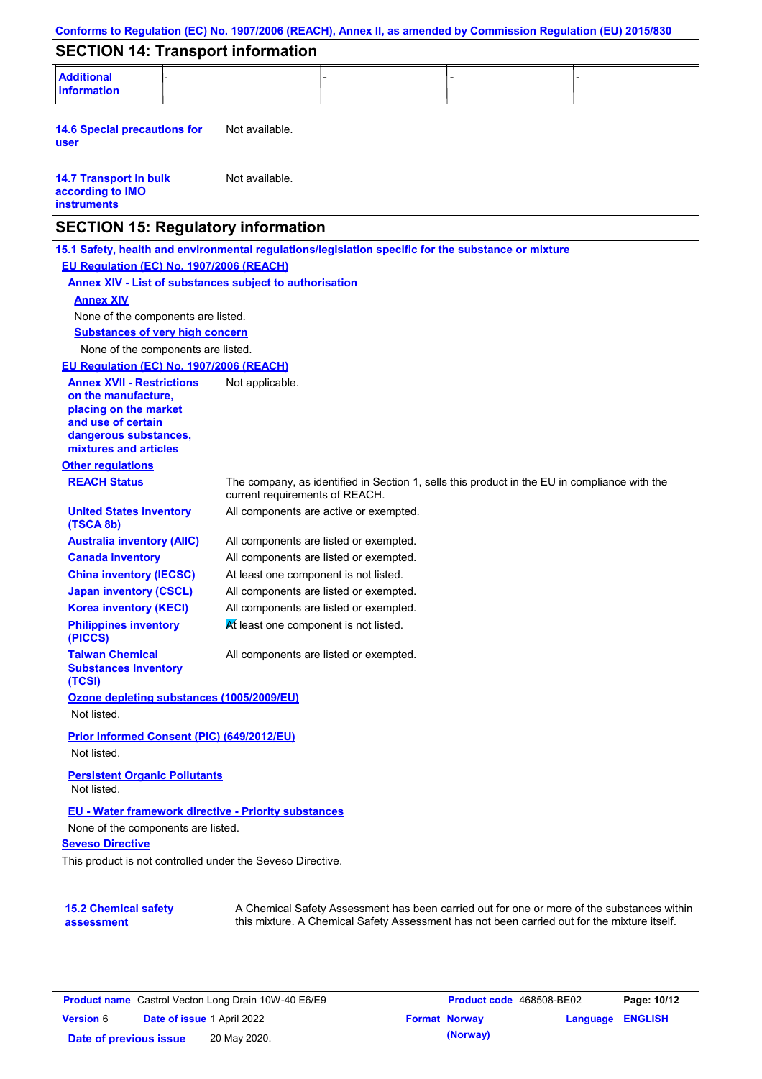|                                                                                                                                                          | Conforms to Regulation (EC) No. 1907/2006 (REACH), Annex II, as amended by Commission Regulation (EU) 2015/830                                                                            |  |
|----------------------------------------------------------------------------------------------------------------------------------------------------------|-------------------------------------------------------------------------------------------------------------------------------------------------------------------------------------------|--|
| <b>SECTION 14: Transport information</b>                                                                                                                 |                                                                                                                                                                                           |  |
| <b>Additional</b><br><b>information</b>                                                                                                                  |                                                                                                                                                                                           |  |
| <b>14.6 Special precautions for</b><br>user                                                                                                              | Not available.                                                                                                                                                                            |  |
| <b>14.7 Transport in bulk</b><br>according to IMO<br><b>instruments</b>                                                                                  | Not available.                                                                                                                                                                            |  |
| <b>SECTION 15: Regulatory information</b>                                                                                                                |                                                                                                                                                                                           |  |
| EU Regulation (EC) No. 1907/2006 (REACH)<br><b>Annex XIV</b><br>None of the components are listed.<br><b>Substances of very high concern</b>             | 15.1 Safety, health and environmental regulations/legislation specific for the substance or mixture<br><b>Annex XIV - List of substances subject to authorisation</b>                     |  |
| None of the components are listed.                                                                                                                       |                                                                                                                                                                                           |  |
| EU Regulation (EC) No. 1907/2006 (REACH)                                                                                                                 |                                                                                                                                                                                           |  |
| <b>Annex XVII - Restrictions</b><br>on the manufacture,<br>placing on the market<br>and use of certain<br>dangerous substances,<br>mixtures and articles | Not applicable.                                                                                                                                                                           |  |
| <b>Other regulations</b>                                                                                                                                 |                                                                                                                                                                                           |  |
| <b>REACH Status</b>                                                                                                                                      | The company, as identified in Section 1, sells this product in the EU in compliance with the<br>current requirements of REACH.                                                            |  |
| <b>United States inventory</b><br>(TSCA 8b)                                                                                                              | All components are active or exempted.                                                                                                                                                    |  |
| <b>Australia inventory (AIIC)</b>                                                                                                                        | All components are listed or exempted.                                                                                                                                                    |  |
| <b>Canada inventory</b>                                                                                                                                  | All components are listed or exempted.                                                                                                                                                    |  |
| <b>China inventory (IECSC)</b>                                                                                                                           | At least one component is not listed.                                                                                                                                                     |  |
| <b>Japan inventory (CSCL)</b>                                                                                                                            | All components are listed or exempted.                                                                                                                                                    |  |
| <b>Korea inventory (KECI)</b>                                                                                                                            | All components are listed or exempted.                                                                                                                                                    |  |
| <b>Philippines inventory</b><br>(PICCS)                                                                                                                  | At least one component is not listed.                                                                                                                                                     |  |
| <b>Taiwan Chemical</b><br><b>Substances Inventory</b><br>(TCSI)                                                                                          | All components are listed or exempted.                                                                                                                                                    |  |
| Ozone depleting substances (1005/2009/EU)<br>Not listed.                                                                                                 |                                                                                                                                                                                           |  |
| Prior Informed Consent (PIC) (649/2012/EU)<br>Not listed.                                                                                                |                                                                                                                                                                                           |  |
| <b>Persistent Organic Pollutants</b><br>Not listed.                                                                                                      |                                                                                                                                                                                           |  |
| <b>EU - Water framework directive - Priority substances</b>                                                                                              |                                                                                                                                                                                           |  |
| None of the components are listed.                                                                                                                       |                                                                                                                                                                                           |  |
| <b>Seveso Directive</b>                                                                                                                                  |                                                                                                                                                                                           |  |
| This product is not controlled under the Seveso Directive.                                                                                               |                                                                                                                                                                                           |  |
|                                                                                                                                                          |                                                                                                                                                                                           |  |
| <b>15.2 Chemical safety</b><br>assessment                                                                                                                | A Chemical Safety Assessment has been carried out for one or more of the substances within<br>this mixture. A Chemical Safety Assessment has not been carried out for the mixture itself. |  |

| <b>Product name</b> Castrol Vecton Long Drain 10W-40 E6/E9 |  | <b>Product code</b> 468508-BE02   |  | Page: 10/12          |                         |  |
|------------------------------------------------------------|--|-----------------------------------|--|----------------------|-------------------------|--|
| <b>Version 6</b>                                           |  | <b>Date of issue 1 April 2022</b> |  | <b>Format Norway</b> | <b>Language ENGLISH</b> |  |
| Date of previous issue                                     |  | 20 May 2020.                      |  | (Norway)             |                         |  |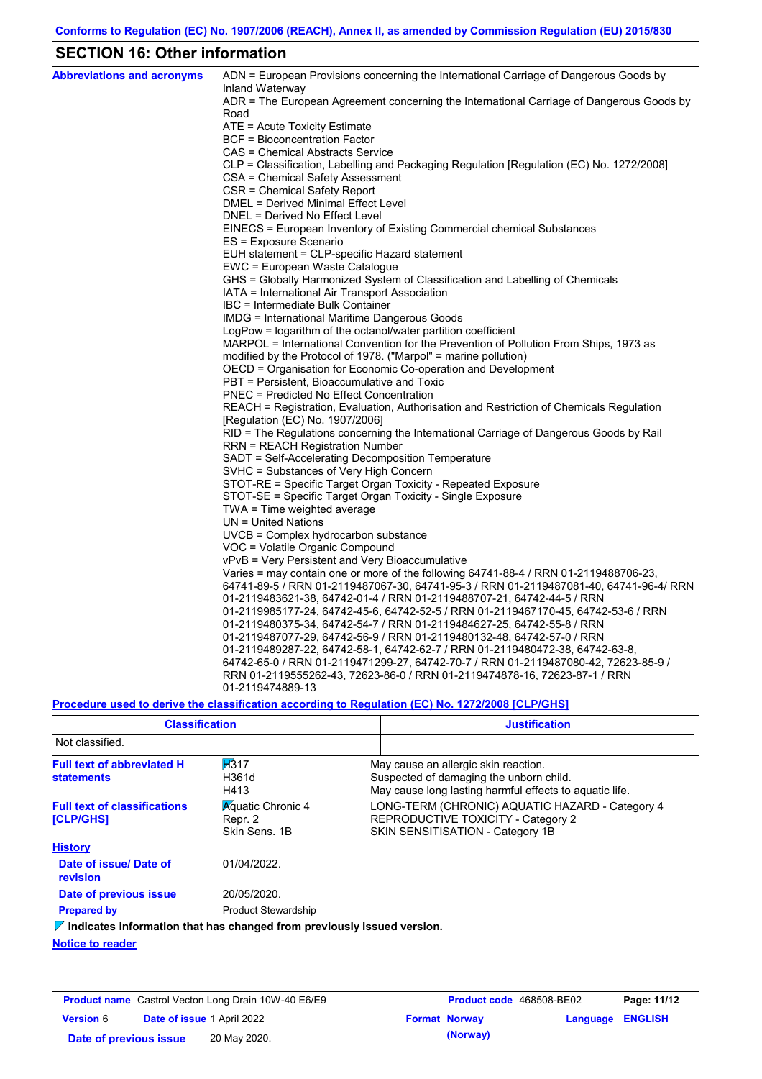# **SECTION 16: Other information**

| <b>Abbreviations and acronyms</b> | ADN = European Provisions concerning the International Carriage of Dangerous Goods by<br>Inland Waterway |
|-----------------------------------|----------------------------------------------------------------------------------------------------------|
|                                   | ADR = The European Agreement concerning the International Carriage of Dangerous Goods by                 |
|                                   | Road                                                                                                     |
|                                   | ATE = Acute Toxicity Estimate                                                                            |
|                                   | BCF = Bioconcentration Factor                                                                            |
|                                   | CAS = Chemical Abstracts Service                                                                         |
|                                   | CLP = Classification, Labelling and Packaging Regulation [Regulation (EC) No. 1272/2008]                 |
|                                   | CSA = Chemical Safety Assessment                                                                         |
|                                   | CSR = Chemical Safety Report                                                                             |
|                                   | DMEL = Derived Minimal Effect Level                                                                      |
|                                   | DNEL = Derived No Effect Level                                                                           |
|                                   | EINECS = European Inventory of Existing Commercial chemical Substances                                   |
|                                   | ES = Exposure Scenario                                                                                   |
|                                   | EUH statement = CLP-specific Hazard statement                                                            |
|                                   | EWC = European Waste Catalogue                                                                           |
|                                   | GHS = Globally Harmonized System of Classification and Labelling of Chemicals                            |
|                                   | IATA = International Air Transport Association<br>IBC = Intermediate Bulk Container                      |
|                                   | IMDG = International Maritime Dangerous Goods                                                            |
|                                   | $LogPow = logarithm$ of the octanol/water partition coefficient                                          |
|                                   | MARPOL = International Convention for the Prevention of Pollution From Ships, 1973 as                    |
|                                   | modified by the Protocol of 1978. ("Marpol" = marine pollution)                                          |
|                                   | OECD = Organisation for Economic Co-operation and Development                                            |
|                                   | PBT = Persistent, Bioaccumulative and Toxic                                                              |
|                                   | <b>PNEC = Predicted No Effect Concentration</b>                                                          |
|                                   | REACH = Registration, Evaluation, Authorisation and Restriction of Chemicals Regulation                  |
|                                   | [Regulation (EC) No. 1907/2006]                                                                          |
|                                   | RID = The Regulations concerning the International Carriage of Dangerous Goods by Rail                   |
|                                   | <b>RRN = REACH Registration Number</b>                                                                   |
|                                   | SADT = Self-Accelerating Decomposition Temperature                                                       |
|                                   | SVHC = Substances of Very High Concern                                                                   |
|                                   | STOT-RE = Specific Target Organ Toxicity - Repeated Exposure                                             |
|                                   | STOT-SE = Specific Target Organ Toxicity - Single Exposure                                               |
|                                   | TWA = Time weighted average                                                                              |
|                                   | $UN = United Nations$                                                                                    |
|                                   | $UVCB = Complex\;hydrocarbon\; substance$                                                                |
|                                   | VOC = Volatile Organic Compound                                                                          |
|                                   | vPvB = Very Persistent and Very Bioaccumulative                                                          |
|                                   | Varies = may contain one or more of the following $64741-88-4$ / RRN 01-2119488706-23,                   |
|                                   | 64741-89-5 / RRN 01-2119487067-30, 64741-95-3 / RRN 01-2119487081-40, 64741-96-4/ RRN                    |
|                                   | 01-2119483621-38, 64742-01-4 / RRN 01-2119488707-21, 64742-44-5 / RRN                                    |
|                                   | 01-2119985177-24, 64742-45-6, 64742-52-5 / RRN 01-2119467170-45, 64742-53-6 / RRN                        |
|                                   | 01-2119480375-34, 64742-54-7 / RRN 01-2119484627-25, 64742-55-8 / RRN                                    |
|                                   | 01-2119487077-29, 64742-56-9 / RRN 01-2119480132-48, 64742-57-0 / RRN                                    |
|                                   | 01-2119489287-22, 64742-58-1, 64742-62-7 / RRN 01-2119480472-38, 64742-63-8,                             |
|                                   | 64742-65-0 / RRN 01-2119471299-27, 64742-70-7 / RRN 01-2119487080-42, 72623-85-9 /                       |
|                                   | RRN 01-2119555262-43, 72623-86-0 / RRN 01-2119474878-16, 72623-87-1 / RRN                                |
|                                   | 01-2119474889-13                                                                                         |

## **Procedure used to derive the classification according to Regulation (EC) No. 1272/2008 [CLP/GHS]**

| <b>Classification</b>                                                           |                                                      | <b>Justification</b>                                                                                                                       |
|---------------------------------------------------------------------------------|------------------------------------------------------|--------------------------------------------------------------------------------------------------------------------------------------------|
| Not classified.                                                                 |                                                      |                                                                                                                                            |
| <b>Full text of abbreviated H</b><br><b>statements</b>                          | H <sub>317</sub><br>H361d<br>H413                    | May cause an allergic skin reaction.<br>Suspected of damaging the unborn child.<br>May cause long lasting harmful effects to aquatic life. |
| <b>Full text of classifications</b><br><b>[CLP/GHS]</b>                         | <b>Aguatic Chronic 4</b><br>Repr. 2<br>Skin Sens, 1B | LONG-TERM (CHRONIC) AQUATIC HAZARD - Category 4<br>REPRODUCTIVE TOXICITY - Category 2<br>SKIN SENSITISATION - Category 1B                  |
| <b>History</b>                                                                  |                                                      |                                                                                                                                            |
| Date of issue/Date of<br>revision                                               | 01/04/2022.                                          |                                                                                                                                            |
| Date of previous issue                                                          | 20/05/2020.                                          |                                                                                                                                            |
| <b>Prepared by</b>                                                              | <b>Product Stewardship</b>                           |                                                                                                                                            |
| $\nabla$ Indicates information that has changed from previously issued version. |                                                      |                                                                                                                                            |

**Notice to reader**

| <b>Product name</b> Castrol Vecton Long Drain 10W-40 E6/E9 |                                   | <b>Product code</b> 468508-BE02 |  | Page: 11/12          |                         |  |
|------------------------------------------------------------|-----------------------------------|---------------------------------|--|----------------------|-------------------------|--|
| <b>Version 6</b>                                           | <b>Date of issue 1 April 2022</b> |                                 |  | <b>Format Norway</b> | <b>Language ENGLISH</b> |  |
| Date of previous issue                                     |                                   | 20 May 2020.                    |  | (Norway)             |                         |  |